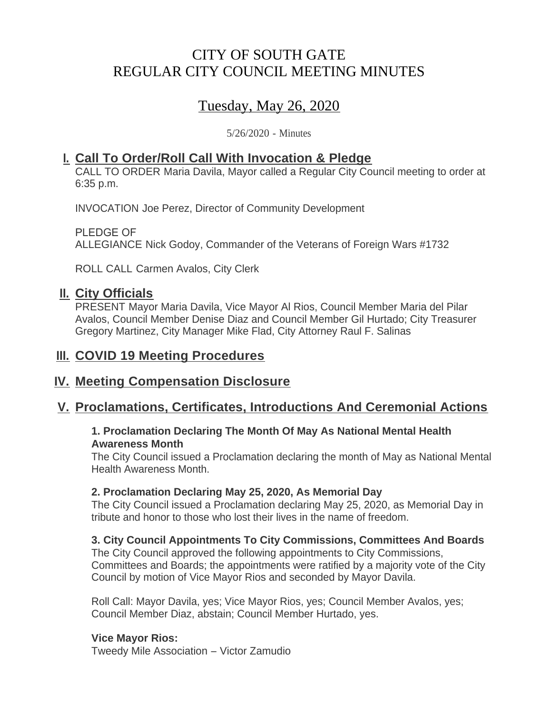# CITY OF SOUTH GATE REGULAR CITY COUNCIL MEETING MINUTES

# Tuesday, May 26, 2020

5/26/2020 - Minutes

## **Call To Order/Roll Call With Invocation & Pledge I.**

CALL TO ORDER Maria Davila, Mayor called a Regular City Council meeting to order at 6:35 p.m.

INVOCATION Joe Perez, Director of Community Development

PLEDGE OF ALLEGIANCE Nick Godoy, Commander of the Veterans of Foreign Wars #1732

ROLL CALL Carmen Avalos, City Clerk

## **II.** City Officials

PRESENT Mayor Maria Davila, Vice Mayor Al Rios, Council Member Maria del Pilar Avalos, Council Member Denise Diaz and Council Member Gil Hurtado; City Treasurer Gregory Martinez, City Manager Mike Flad, City Attorney Raul F. Salinas

## **III. COVID 19 Meeting Procedures**

## **IV. Meeting Compensation Disclosure**

## **Proclamations, Certificates, Introductions And Ceremonial Actions V.**

### **1. Proclamation Declaring The Month Of May As National Mental Health Awareness Month**

The City Council issued a Proclamation declaring the month of May as National Mental Health Awareness Month.

### **2. Proclamation Declaring May 25, 2020, As Memorial Day**

The City Council issued a Proclamation declaring May 25, 2020, as Memorial Day in tribute and honor to those who lost their lives in the name of freedom.

### **3. City Council Appointments To City Commissions, Committees And Boards**

The City Council approved the following appointments to City Commissions, Committees and Boards; the appointments were ratified by a majority vote of the City Council by motion of Vice Mayor Rios and seconded by Mayor Davila.

Roll Call: Mayor Davila, yes; Vice Mayor Rios, yes; Council Member Avalos, yes; Council Member Diaz, abstain; Council Member Hurtado, yes.

### **Vice Mayor Rios:**

Tweedy Mile Association – Victor Zamudio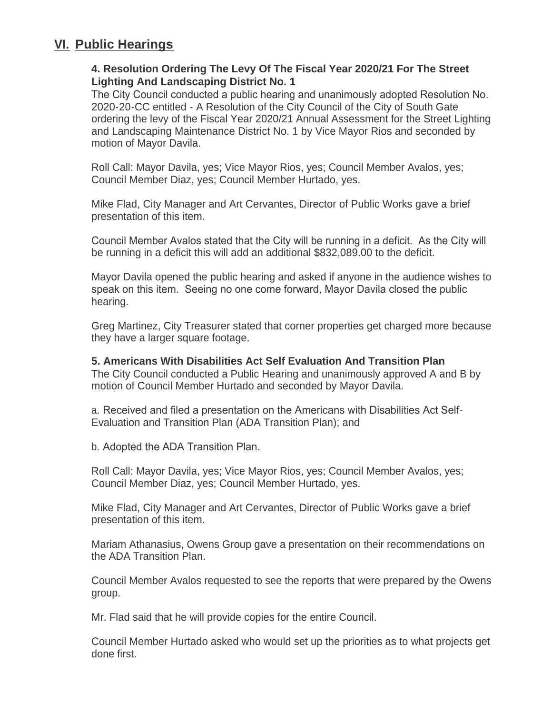## **Public Hearings VI.**

### **4. Resolution Ordering The Levy Of The Fiscal Year 2020/21 For The Street Lighting And Landscaping District No. 1**

The City Council conducted a public hearing and unanimously adopted Resolution No. 2020-20-CC entitled - A Resolution of the City Council of the City of South Gate ordering the levy of the Fiscal Year 2020/21 Annual Assessment for the Street Lighting and Landscaping Maintenance District No. 1 by Vice Mayor Rios and seconded by motion of Mayor Davila.

Roll Call: Mayor Davila, yes; Vice Mayor Rios, yes; Council Member Avalos, yes; Council Member Diaz, yes; Council Member Hurtado, yes.

Mike Flad, City Manager and Art Cervantes, Director of Public Works gave a brief presentation of this item.

Council Member Avalos stated that the City will be running in a deficit. As the City will be running in a deficit this will add an additional \$832,089.00 to the deficit.

Mayor Davila opened the public hearing and asked if anyone in the audience wishes to speak on this item. Seeing no one come forward, Mayor Davila closed the public hearing.

Greg Martinez, City Treasurer stated that corner properties get charged more because they have a larger square footage.

#### **5. Americans With Disabilities Act Self Evaluation And Transition Plan**

The City Council conducted a Public Hearing and unanimously approved A and B by motion of Council Member Hurtado and seconded by Mayor Davila.

a. Received and filed a presentation on the Americans with Disabilities Act Self-Evaluation and Transition Plan (ADA Transition Plan); and

b. Adopted the ADA Transition Plan.

Roll Call: Mayor Davila, yes; Vice Mayor Rios, yes; Council Member Avalos, yes; Council Member Diaz, yes; Council Member Hurtado, yes.

Mike Flad, City Manager and Art Cervantes, Director of Public Works gave a brief presentation of this item.

Mariam Athanasius, Owens Group gave a presentation on their recommendations on the ADA Transition Plan.

Council Member Avalos requested to see the reports that were prepared by the Owens group.

Mr. Flad said that he will provide copies for the entire Council.

Council Member Hurtado asked who would set up the priorities as to what projects get done first.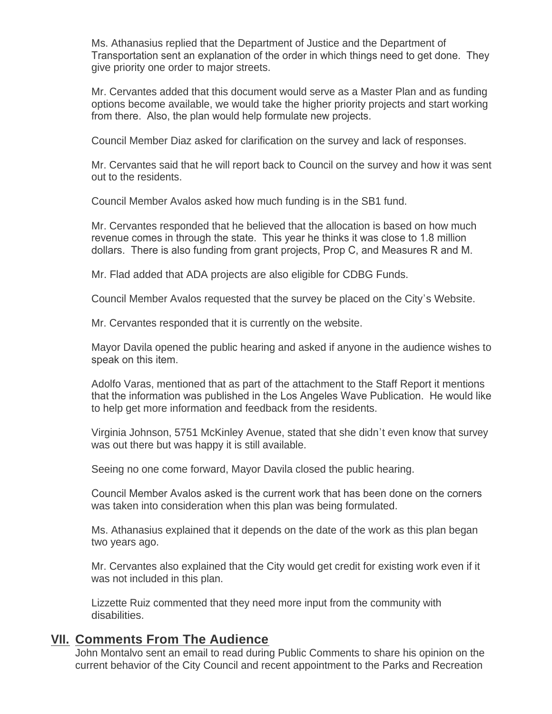Ms. Athanasius replied that the Department of Justice and the Department of Transportation sent an explanation of the order in which things need to get done. They give priority one order to major streets.

Mr. Cervantes added that this document would serve as a Master Plan and as funding options become available, we would take the higher priority projects and start working from there. Also, the plan would help formulate new projects.

Council Member Diaz asked for clarification on the survey and lack of responses.

Mr. Cervantes said that he will report back to Council on the survey and how it was sent out to the residents.

Council Member Avalos asked how much funding is in the SB1 fund.

Mr. Cervantes responded that he believed that the allocation is based on how much revenue comes in through the state. This year he thinks it was close to 1.8 million dollars. There is also funding from grant projects, Prop C, and Measures R and M.

Mr. Flad added that ADA projects are also eligible for CDBG Funds.

Council Member Avalos requested that the survey be placed on the City's Website.

Mr. Cervantes responded that it is currently on the website.

Mayor Davila opened the public hearing and asked if anyone in the audience wishes to speak on this item.

Adolfo Varas, mentioned that as part of the attachment to the Staff Report it mentions that the information was published in the Los Angeles Wave Publication. He would like to help get more information and feedback from the residents.

Virginia Johnson, 5751 McKinley Avenue, stated that she didn't even know that survey was out there but was happy it is still available.

Seeing no one come forward, Mayor Davila closed the public hearing.

Council Member Avalos asked is the current work that has been done on the corners was taken into consideration when this plan was being formulated.

Ms. Athanasius explained that it depends on the date of the work as this plan began two years ago.

Mr. Cervantes also explained that the City would get credit for existing work even if it was not included in this plan.

Lizzette Ruiz commented that they need more input from the community with disabilities.

### **YII. Comments From The Audience**

John Montalvo sent an email to read during Public Comments to share his opinion on the current behavior of the City Council and recent appointment to the Parks and Recreation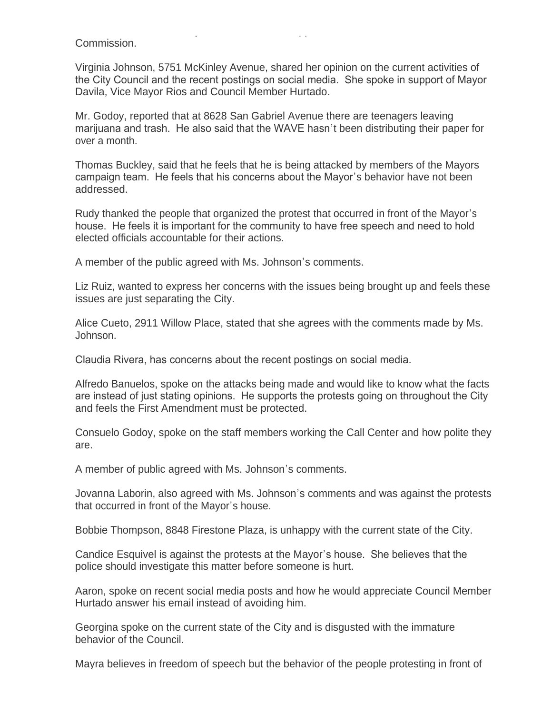current behavior of the City Council and recent appointment to the Parks and Recreation Commission.

Virginia Johnson, 5751 McKinley Avenue, shared her opinion on the current activities of the City Council and the recent postings on social media. She spoke in support of Mayor Davila, Vice Mayor Rios and Council Member Hurtado.

Mr. Godoy, reported that at 8628 San Gabriel Avenue there are teenagers leaving marijuana and trash. He also said that the WAVE hasn't been distributing their paper for over a month.

Thomas Buckley, said that he feels that he is being attacked by members of the Mayors campaign team. He feels that his concerns about the Mayor's behavior have not been addressed.

Rudy thanked the people that organized the protest that occurred in front of the Mayor's house. He feels it is important for the community to have free speech and need to hold elected officials accountable for their actions.

A member of the public agreed with Ms. Johnson's comments.

Liz Ruiz, wanted to express her concerns with the issues being brought up and feels these issues are just separating the City.

Alice Cueto, 2911 Willow Place, stated that she agrees with the comments made by Ms. Johnson.

Claudia Rivera, has concerns about the recent postings on social media.

Alfredo Banuelos, spoke on the attacks being made and would like to know what the facts are instead of just stating opinions. He supports the protests going on throughout the City and feels the First Amendment must be protected.

Consuelo Godoy, spoke on the staff members working the Call Center and how polite they are.

A member of public agreed with Ms. Johnson's comments.

Jovanna Laborin, also agreed with Ms. Johnson's comments and was against the protests that occurred in front of the Mayor's house.

Bobbie Thompson, 8848 Firestone Plaza, is unhappy with the current state of the City.

Candice Esquivel is against the protests at the Mayor's house. She believes that the police should investigate this matter before someone is hurt.

Aaron, spoke on recent social media posts and how he would appreciate Council Member Hurtado answer his email instead of avoiding him.

Georgina spoke on the current state of the City and is disgusted with the immature behavior of the Council.

Mayra believes in freedom of speech but the behavior of the people protesting in front of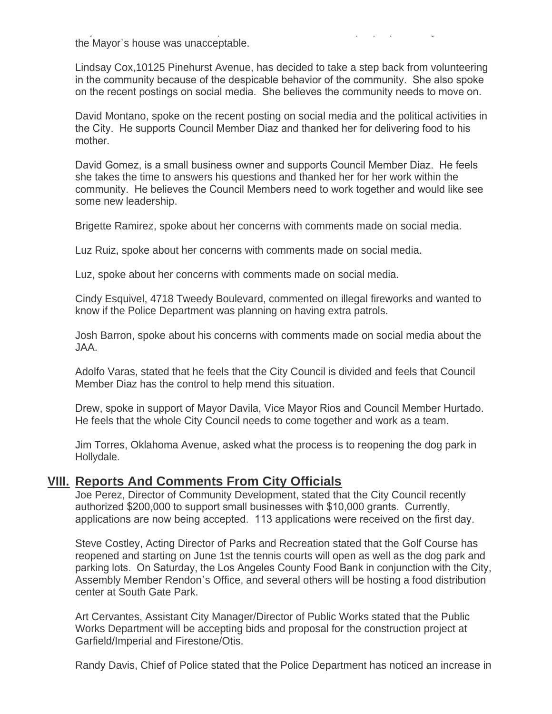Mayra believes in freedom of speech but the behavior of the people protesting in front of the Mayor's house was unacceptable.

Lindsay Cox,10125 Pinehurst Avenue, has decided to take a step back from volunteering in the community because of the despicable behavior of the community. She also spoke on the recent postings on social media. She believes the community needs to move on.

David Montano, spoke on the recent posting on social media and the political activities in the City. He supports Council Member Diaz and thanked her for delivering food to his mother.

David Gomez, is a small business owner and supports Council Member Diaz. He feels she takes the time to answers his questions and thanked her for her work within the community. He believes the Council Members need to work together and would like see some new leadership.

Brigette Ramirez, spoke about her concerns with comments made on social media.

Luz Ruiz, spoke about her concerns with comments made on social media.

Luz, spoke about her concerns with comments made on social media.

Cindy Esquivel, 4718 Tweedy Boulevard, commented on illegal fireworks and wanted to know if the Police Department was planning on having extra patrols.

Josh Barron, spoke about his concerns with comments made on social media about the JAA.

Adolfo Varas, stated that he feels that the City Council is divided and feels that Council Member Diaz has the control to help mend this situation.

Drew, spoke in support of Mayor Davila, Vice Mayor Rios and Council Member Hurtado. He feels that the whole City Council needs to come together and work as a team.

Jim Torres, Oklahoma Avenue, asked what the process is to reopening the dog park in Hollydale.

## **<u>YIII. Reports And Comments From City Officials</u>**

Joe Perez, Director of Community Development, stated that the City Council recently authorized \$200,000 to support small businesses with \$10,000 grants. Currently, applications are now being accepted. 113 applications were received on the first day.

Steve Costley, Acting Director of Parks and Recreation stated that the Golf Course has reopened and starting on June 1st the tennis courts will open as well as the dog park and parking lots. On Saturday, the Los Angeles County Food Bank in conjunction with the City, Assembly Member Rendon's Office, and several others will be hosting a food distribution center at South Gate Park.

Art Cervantes, Assistant City Manager/Director of Public Works stated that the Public Works Department will be accepting bids and proposal for the construction project at Garfield/Imperial and Firestone/Otis.

Randy Davis, Chief of Police stated that the Police Department has noticed an increase in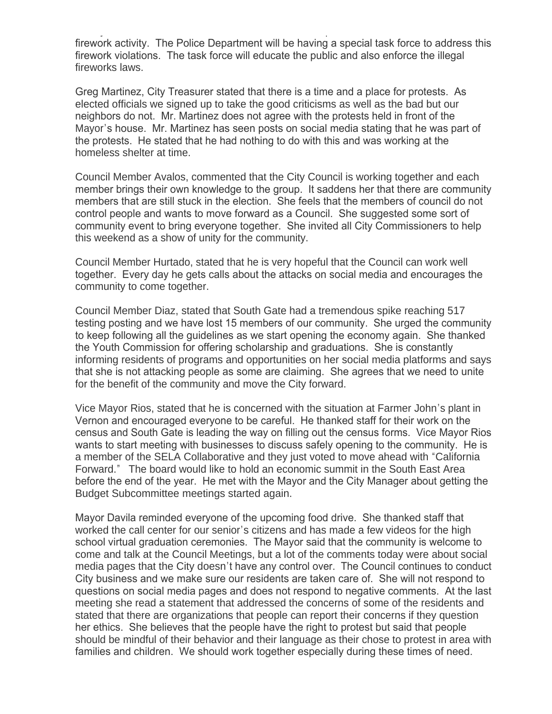Randy Davis, Chief of Police stated that the Police Department has noticed an increase in firework activity. The Police Department will be having a special task force to address this firework violations. The task force will educate the public and also enforce the illegal fireworks laws.

Greg Martinez, City Treasurer stated that there is a time and a place for protests. As elected officials we signed up to take the good criticisms as well as the bad but our neighbors do not. Mr. Martinez does not agree with the protests held in front of the Mayor's house. Mr. Martinez has seen posts on social media stating that he was part of the protests. He stated that he had nothing to do with this and was working at the homeless shelter at time.

Council Member Avalos, commented that the City Council is working together and each member brings their own knowledge to the group. It saddens her that there are community members that are still stuck in the election. She feels that the members of council do not control people and wants to move forward as a Council. She suggested some sort of community event to bring everyone together. She invited all City Commissioners to help this weekend as a show of unity for the community.

Council Member Hurtado, stated that he is very hopeful that the Council can work well together. Every day he gets calls about the attacks on social media and encourages the community to come together.

Council Member Diaz, stated that South Gate had a tremendous spike reaching 517 testing posting and we have lost 15 members of our community. She urged the community to keep following all the guidelines as we start opening the economy again. She thanked the Youth Commission for offering scholarship and graduations. She is constantly informing residents of programs and opportunities on her social media platforms and says that she is not attacking people as some are claiming. She agrees that we need to unite for the benefit of the community and move the City forward.

Vice Mayor Rios, stated that he is concerned with the situation at Farmer John's plant in Vernon and encouraged everyone to be careful. He thanked staff for their work on the census and South Gate is leading the way on filling out the census forms. Vice Mayor Rios wants to start meeting with businesses to discuss safely opening to the community. He is a member of the SELA Collaborative and they just voted to move ahead with "California Forward." The board would like to hold an economic summit in the South East Area before the end of the year. He met with the Mayor and the City Manager about getting the Budget Subcommittee meetings started again.

Mayor Davila reminded everyone of the upcoming food drive. She thanked staff that worked the call center for our senior's citizens and has made a few videos for the high school virtual graduation ceremonies. The Mayor said that the community is welcome to come and talk at the Council Meetings, but a lot of the comments today were about social media pages that the City doesn't have any control over. The Council continues to conduct City business and we make sure our residents are taken care of. She will not respond to questions on social media pages and does not respond to negative comments. At the last meeting she read a statement that addressed the concerns of some of the residents and stated that there are organizations that people can report their concerns if they question her ethics. She believes that the people have the right to protest but said that people should be mindful of their behavior and their language as their chose to protest in area with families and children. We should work together especially during these times of need.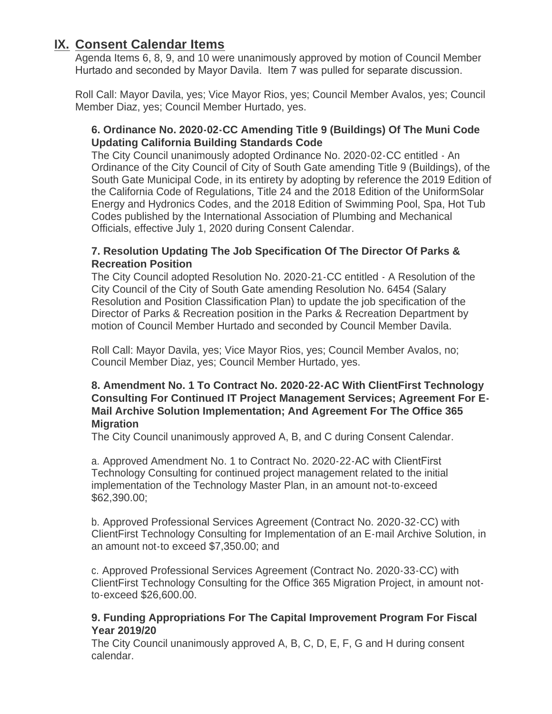## **IX. Consent Calendar Items**

Agenda Items 6, 8, 9, and 10 were unanimously approved by motion of Council Member Hurtado and seconded by Mayor Davila. Item 7 was pulled for separate discussion.

Roll Call: Mayor Davila, yes; Vice Mayor Rios, yes; Council Member Avalos, yes; Council Member Diaz, yes; Council Member Hurtado, yes.

### **6. Ordinance No. 2020-02-CC Amending Title 9 (Buildings) Of The Muni Code Updating California Building Standards Code**

The City Council unanimously adopted Ordinance No. 2020-02-CC entitled - An Ordinance of the City Council of City of South Gate amending Title 9 (Buildings), of the South Gate Municipal Code, in its entirety by adopting by reference the 2019 Edition of the California Code of Regulations, Title 24 and the 2018 Edition of the UniformSolar Energy and Hydronics Codes, and the 2018 Edition of Swimming Pool, Spa, Hot Tub Codes published by the International Association of Plumbing and Mechanical Officials, effective July 1, 2020 during Consent Calendar.

### **7. Resolution Updating The Job Specification Of The Director Of Parks & Recreation Position**

The City Council adopted Resolution No. 2020-21-CC entitled - A Resolution of the City Council of the City of South Gate amending Resolution No. 6454 (Salary Resolution and Position Classification Plan) to update the job specification of the Director of Parks & Recreation position in the Parks & Recreation Department by motion of Council Member Hurtado and seconded by Council Member Davila.

Roll Call: Mayor Davila, yes; Vice Mayor Rios, yes; Council Member Avalos, no; Council Member Diaz, yes; Council Member Hurtado, yes.

### **8. Amendment No. 1 To Contract No. 2020-22-AC With ClientFirst Technology Consulting For Continued IT Project Management Services; Agreement For E-Mail Archive Solution Implementation; And Agreement For The Office 365 Migration**

The City Council unanimously approved A, B, and C during Consent Calendar.

a. Approved Amendment No. 1 to Contract No. 2020-22-AC with ClientFirst Technology Consulting for continued project management related to the initial implementation of the Technology Master Plan, in an amount not-to-exceed \$62,390.00;

b. Approved Professional Services Agreement (Contract No. 2020-32-CC) with ClientFirst Technology Consulting for Implementation of an E-mail Archive Solution, in an amount not-to exceed \$7,350.00; and

c. Approved Professional Services Agreement (Contract No. 2020-33-CC) with ClientFirst Technology Consulting for the Office 365 Migration Project, in amount notto-exceed \$26,600.00.

### **9. Funding Appropriations For The Capital Improvement Program For Fiscal Year 2019/20**

The City Council unanimously approved A, B, C, D, E, F, G and H during consent calendar.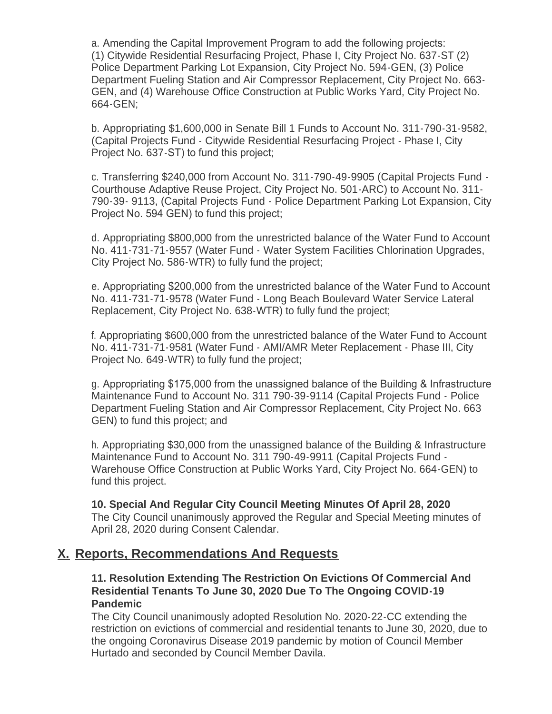a. Amending the Capital Improvement Program to add the following projects: (1) Citywide Residential Resurfacing Project, Phase I, City Project No. 637-ST (2) Police Department Parking Lot Expansion, City Project No. 594-GEN, (3) Police Department Fueling Station and Air Compressor Replacement, City Project No. 663- GEN, and (4) Warehouse Office Construction at Public Works Yard, City Project No. 664-GEN;

b. Appropriating \$1,600,000 in Senate Bill 1 Funds to Account No. 311-790-31-9582, (Capital Projects Fund - Citywide Residential Resurfacing Project - Phase I, City Project No. 637-ST) to fund this project;

c. Transferring \$240,000 from Account No. 311-790-49-9905 (Capital Projects Fund - Courthouse Adaptive Reuse Project, City Project No. 501-ARC) to Account No. 311- 790-39- 9113, (Capital Projects Fund - Police Department Parking Lot Expansion, City Project No. 594 GEN) to fund this project;

d. Appropriating \$800,000 from the unrestricted balance of the Water Fund to Account No. 411-731-71-9557 (Water Fund - Water System Facilities Chlorination Upgrades, City Project No. 586-WTR) to fully fund the project;

e. Appropriating \$200,000 from the unrestricted balance of the Water Fund to Account No. 411-731-71-9578 (Water Fund - Long Beach Boulevard Water Service Lateral Replacement, City Project No. 638-WTR) to fully fund the project;

f. Appropriating \$600,000 from the unrestricted balance of the Water Fund to Account No. 411-731-71-9581 (Water Fund - AMI/AMR Meter Replacement - Phase III, City Project No. 649-WTR) to fully fund the project;

g. Appropriating \$175,000 from the unassigned balance of the Building & Infrastructure Maintenance Fund to Account No. 311 790-39-9114 (Capital Projects Fund - Police Department Fueling Station and Air Compressor Replacement, City Project No. 663 GEN) to fund this project; and

h. Appropriating \$30,000 from the unassigned balance of the Building & Infrastructure Maintenance Fund to Account No. 311 790-49-9911 (Capital Projects Fund - Warehouse Office Construction at Public Works Yard, City Project No. 664-GEN) to fund this project.

**10. Special And Regular City Council Meeting Minutes Of April 28, 2020** The City Council unanimously approved the Regular and Special Meeting minutes of April 28, 2020 during Consent Calendar.

### **Reports, Recommendations And Requests X.**

### **11. Resolution Extending The Restriction On Evictions Of Commercial And Residential Tenants To June 30, 2020 Due To The Ongoing COVID-19 Pandemic**

The City Council unanimously adopted Resolution No. 2020-22-CC extending the restriction on evictions of commercial and residential tenants to June 30, 2020, due to the ongoing Coronavirus Disease 2019 pandemic by motion of Council Member Hurtado and seconded by Council Member Davila.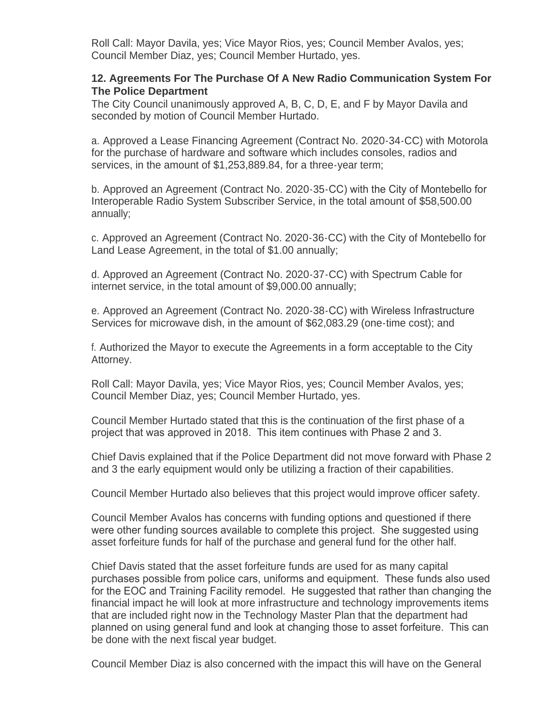Roll Call: Mayor Davila, yes; Vice Mayor Rios, yes; Council Member Avalos, yes; Council Member Diaz, yes; Council Member Hurtado, yes.

#### **12. Agreements For The Purchase Of A New Radio Communication System For The Police Department**

The City Council unanimously approved A, B, C, D, E, and F by Mayor Davila and seconded by motion of Council Member Hurtado.

a. Approved a Lease Financing Agreement (Contract No. 2020-34-CC) with Motorola for the purchase of hardware and software which includes consoles, radios and services, in the amount of \$1,253,889.84, for a three-year term;

b. Approved an Agreement (Contract No. 2020-35-CC) with the City of Montebello for Interoperable Radio System Subscriber Service, in the total amount of \$58,500.00 annually;

c. Approved an Agreement (Contract No. 2020-36-CC) with the City of Montebello for Land Lease Agreement, in the total of \$1.00 annually;

d. Approved an Agreement (Contract No. 2020-37-CC) with Spectrum Cable for internet service, in the total amount of \$9,000.00 annually;

e. Approved an Agreement (Contract No. 2020-38-CC) with Wireless Infrastructure Services for microwave dish, in the amount of \$62,083.29 (one-time cost); and

f. Authorized the Mayor to execute the Agreements in a form acceptable to the City Attorney.

Roll Call: Mayor Davila, yes; Vice Mayor Rios, yes; Council Member Avalos, yes; Council Member Diaz, yes; Council Member Hurtado, yes.

Council Member Hurtado stated that this is the continuation of the first phase of a project that was approved in 2018. This item continues with Phase 2 and 3.

Chief Davis explained that if the Police Department did not move forward with Phase 2 and 3 the early equipment would only be utilizing a fraction of their capabilities.

Council Member Hurtado also believes that this project would improve officer safety.

Council Member Avalos has concerns with funding options and questioned if there were other funding sources available to complete this project. She suggested using asset forfeiture funds for half of the purchase and general fund for the other half.

Chief Davis stated that the asset forfeiture funds are used for as many capital purchases possible from police cars, uniforms and equipment. These funds also used for the EOC and Training Facility remodel. He suggested that rather than changing the financial impact he will look at more infrastructure and technology improvements items that are included right now in the Technology Master Plan that the department had planned on using general fund and look at changing those to asset forfeiture. This can be done with the next fiscal year budget.

Council Member Diaz is also concerned with the impact this will have on the General